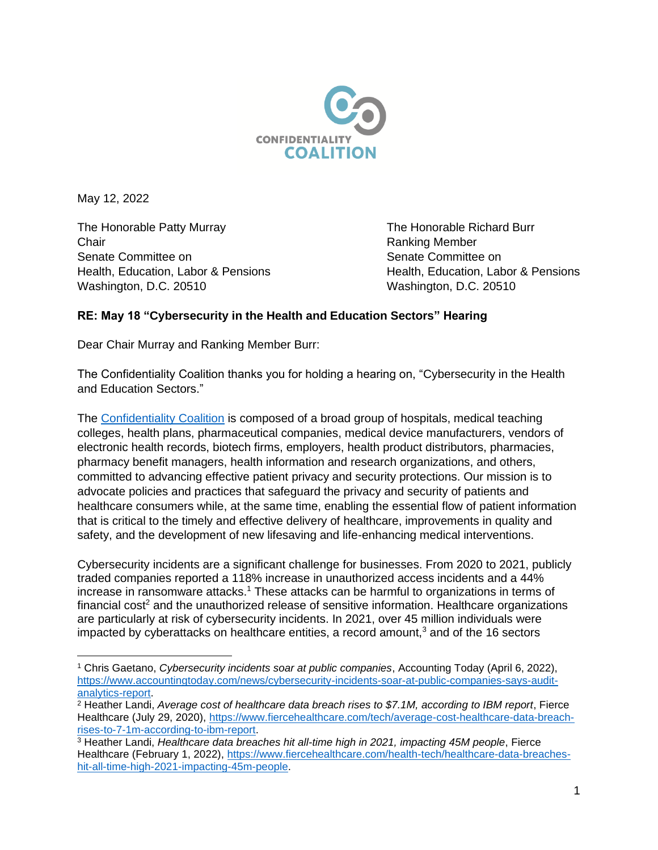

May 12, 2022

The Honorable Patty Murray **The Honorable Richard Burr** The Honorable Richard Burr Chair **Chair** Ranking Member Senate Committee on Senate Committee on Washington, D.C. 20510 Washington, D.C. 20510

Health, Education, Labor & Pensions Health, Education, Labor & Pensions

## **RE: May 18 "Cybersecurity in the Health and Education Sectors" Hearing**

Dear Chair Murray and Ranking Member Burr:

The Confidentiality Coalition thanks you for holding a hearing on, "Cybersecurity in the Health and Education Sectors."

The [Confidentiality Coalition](https://www.confidentialitycoalition.org/) is composed of a broad group of hospitals, medical teaching colleges, health plans, pharmaceutical companies, medical device manufacturers, vendors of electronic health records, biotech firms, employers, health product distributors, pharmacies, pharmacy benefit managers, health information and research organizations, and others, committed to advancing effective patient privacy and security protections. Our mission is to advocate policies and practices that safeguard the privacy and security of patients and healthcare consumers while, at the same time, enabling the essential flow of patient information that is critical to the timely and effective delivery of healthcare, improvements in quality and safety, and the development of new lifesaving and life-enhancing medical interventions.

Cybersecurity incidents are a significant challenge for businesses. From 2020 to 2021, publicly traded companies reported a 118% increase in unauthorized access incidents and a 44% increase in ransomware attacks.<sup>1</sup> These attacks can be harmful to organizations in terms of financial cost<sup>2</sup> and the unauthorized release of sensitive information. Healthcare organizations are particularly at risk of cybersecurity incidents. In 2021, over 45 million individuals were impacted by cyberattacks on healthcare entities, a record amount, $3$  and of the 16 sectors

<sup>1</sup> Chris Gaetano, *Cybersecurity incidents soar at public companies*, Accounting Today (April 6, 2022), [https://www.accountingtoday.com/news/cybersecurity-incidents-soar-at-public-companies-says-audit](https://www.accountingtoday.com/news/cybersecurity-incidents-soar-at-public-companies-says-audit-analytics-report)[analytics-report.](https://www.accountingtoday.com/news/cybersecurity-incidents-soar-at-public-companies-says-audit-analytics-report)

<sup>2</sup> Heather Landi, *Average cost of healthcare data breach rises to \$7.1M, according to IBM report*, Fierce Healthcare (July 29, 2020), [https://www.fiercehealthcare.com/tech/average-cost-healthcare-data-breach](https://www.fiercehealthcare.com/tech/average-cost-healthcare-data-breach-rises-to-7-1m-according-to-ibm-report)[rises-to-7-1m-according-to-ibm-report.](https://www.fiercehealthcare.com/tech/average-cost-healthcare-data-breach-rises-to-7-1m-according-to-ibm-report)

<sup>3</sup> Heather Landi, *Healthcare data breaches hit all-time high in 2021, impacting 45M people*, Fierce Healthcare (February 1, 2022), [https://www.fiercehealthcare.com/health-tech/healthcare-data-breaches](https://www.fiercehealthcare.com/health-tech/healthcare-data-breaches-hit-all-time-high-2021-impacting-45m-people)[hit-all-time-high-2021-impacting-45m-people.](https://www.fiercehealthcare.com/health-tech/healthcare-data-breaches-hit-all-time-high-2021-impacting-45m-people)